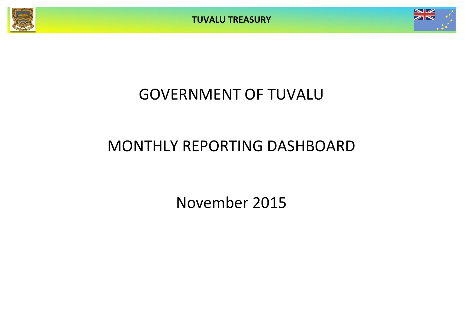**TUVALU TREASURY**



# GOVERNMENT OF TUVALU

# MONTHLY REPORTING DASHBOARD

November 2015

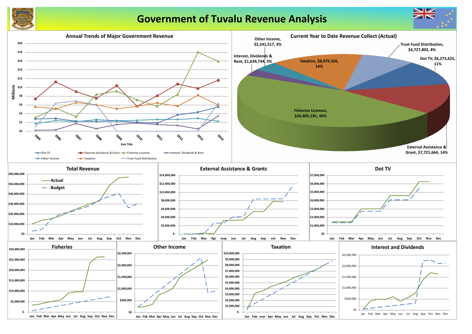

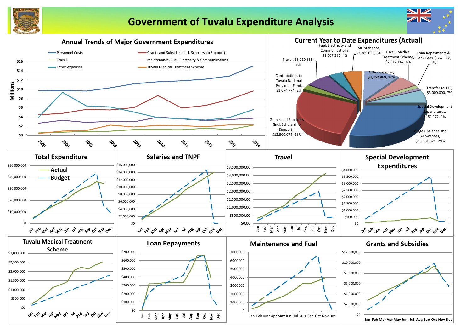

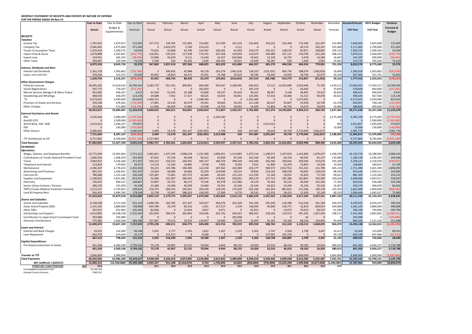### **MONTHLY STATEMENT OF RECEIPTS AND PAYENTS BY NATURE OF EXPENSE FOR THE PERIOD ENDED 30-Nov-15**

**Year to Date** Year to Date Year to Date January February March April May June July August September October November December **Actual+Forecast 2015 Budget Variance Actual** Budget & Supplementary Variance Actual Actual Actual Actual Actual Actual Actual Actual Actual Actual Actual Forecast **Full Year Full Year RECEIPTS** *Taxation* Income Tax 1,787,922 1,672,917 115,005 157,723 139,705 151,645 154,855 157,566 161,410 214,665 154,152 161,444 173,360 161,397 152,083 1,940,005 1,825,000 115,005 Company Tax 2,946,465 2,475,000 471,465 0 2,442,970 5,740 214,223 0 3,111 0 0 0 60,174 220,247 225,000 3,171,465 2,700,000 471,465 Tuvalu Consumption Taxes 1,254,434 1,200,375 54,059 73,623 92,868 62,796 130,562 100,262 81,694 210,275 101,021 148,574 83,871 168,887 109,125 1,363,559 1,309,500 54,059 Import Duty & Excise 1,670,888 2,291,667 (620,779) 116,951 135,325 117,538 174,741 107,428 129,059 210,074 140,689 167,137 159,760 212,185 208,333 1,879,221 2,500,000 (620,779) Import Levy 124,931 183,333 (58,403) 13,996 26,029 9,111 11,644 16,327 (18,506) 16,502 13,129 16,735 5,678 14,284 16,667 141,597 200,000 (58,403) Other Taxes 294,687 220,458 74,229 5,590 520 50,436 2,600 100,446 59,031 14,840 56,287 636 1,400 2,901 20,042 314,729 240,500 74,229 8,079,326 8,043,750 35,576| 367,883 2,837,418 397,266 688,625 482,029 415,800 666,357 465,279 494,526 484,243 779,901 731,250| 8,810,576 8,775,000 35,576 *Interest, Dividends and Rent* Interest and Dividends 1,261,578 1,993,862 (732,284) 0 349,935 43,988 49,178 103,274 (246,253) 128,223 (153,191) 904,730 288,079 (108,029) 10,000 1,369,934 2,003,862 (633,928) Lease, rent and hire 378,166 322,475 55,692 35,952 18,819 44,471 32,501 25,788 35,610 39,296 54,443 10,043 28,769 52,473 29,316 407,482 351,791 55,692 1,639,744 2,316,337 (676,593)| 35,952 368,754 88,459 81,679 129,062 (210,642) 167,519 (98,748) 914,773 316,847 (55,556) 39,316| 1,777,416 2,355,653 (578,237) *Other Government Charges* Fisheries Licenses 26,405,181 15,614,616 10,790,564 3,285,770 451,191 809,901 694,449 595,447 3,180,495 636,916 13,112 14,032,689 2,629,446 75,765 1,419,511 27,824,691 17,034,127 10,790,564 Vessel Registrations 507,775 779,167 (271,392) 0 0 0 261,810 0 0 181,319 0 0 64,645 0 70,833 578,608 850,000 (271,392) Marine Services (Nivaga II & Manu Folau) 453,582 449,167 4,415 61,594 41,033 22,188 53,836 30,537 45,610 40,161 38,367 5,246 40,487 74,523 40,833 494,415 490,000 4,415 Stevedoring and Wharfage 1982 1460,019 336,875 123,144 24,688 7,952 17,317 49,625 33,050 56,841 125,381 57,410 16,466 31,212 40,076 30,625 490,644 367,500 123,144 .TV 6,273,625 5,450,000 823,625 1,460,721 0 0 1,548,344 0 0 1,591,468 0 0 1,673,092 0 0 6,273,625 5,450,000 823,625 Provision of Goods and Services 559,168 678,462 (119,294) 17,881 19,130 49,479 34,441 39,063 33,255 111,248 80,627 94,667 35,658 43,720 61,678 620,847 740,140 (119,294) Other Charges 255,008 371,800 (116,793) (1,030) 46,305 17,966 20,508 13,759 26,055 16,499 21,858 46,756 19,673 26,659 33,800 288,808 405,600 (116,793) 34,914,357 23,680,087 11,234,270| 4,849,622 565,611 916,851 2,663,014 711,857 3,342,257 2,702,992 211,374 14,195,824 4,494,213 260,742 1,657,281| 36,571,638 25,337,368 11,234,270 *External Assistance and Grants* ROC 5,000,000 (1,779,760) 0 0 0 3,220,240 0 0 0 0 0 0 3,175,000 6,395,240 8,175,000 (1,779,760) AusAID (CIF) 0 1,500,000 (1,500,000) 0 0 0 0 0 0 0 0 0 0 0 0 0 1,500,000 (1,500,000) World Bank, IMF, ADB 2,015,023 1,644,167 370,857 0 0 0 0 0 0 0 2,015,023 0 0 0 833 2,015,857 1,645,000 370,857 PDF 0 143,000 (143,000) 0 0 0 0 0 0 0 0 0 0 0 13,000 13,000 156,000 (143,000) Other Donors 0 2,486,401 2,499 13,578 261,247 (220,505) 2,748 100 247,687 10,624 29,730 2,770,694 (136,627) 0 2,981,776 0 2,981,776 7,721,664 8,287,167 (565,503)| 2,499 13,578 261,247 (220,505) 3,222,988 100 247,687 2,025,647 29,730 2,770,694 (136,627) 3,188,833| 11,405,872 11,476,000 (70,128) TTF Distribution to CIF 8,700,000 (3,972,198) 4,727,802 0 8,700,000 (3,972,198) 8,700,000 (3,972,198) error and the contract to the 100 months of the 100 months of the 100 months of the 100 months of the 100 months of the 100 months of the 100 months of the 100 months of the 100 months of the 100 months of the 100 months o **PAYMENTS** *Operations* Wages, Salaries, and Employee Benefits 12,771,650 15,492,963 2,721,312 1,062,851 1,147,195 1,068,218 1,151,500 1,096,451 1,114,864 1,672,11 Contributions to Tuvalu National Provident Fund | 1,066,556 1,408,359 341,803 87,032 97,339 90,038 94,312 92,830 87,548 142,244 Travel 3,064,937 3,536,344 471,407 334,222 156,533 256,455 185,157 180,759 398,249 325,440 236,506 359,643 358,304 273,670 193,209 3,258,147 2,318,509 (939,637) Telephone and Internet 179,902 56,073 13,116 11,244 14,845 9,518 7,995 9,503 7,013 11,840 10,379 13,852 14,526 15,054 188,883 180,652 41,769 Maintenance 2,286,367 4,778,423 2,492,056 93,215 145,786 340,285 122,230 187,562 165,080 433,177 569,572 (133,751) 251,421 111,790 425,133 2,711,499 5,601,590 2,890,091 Advertising and Provisions 865,353 1,266,951 401,597 14,564 46,080 56,666 32,359 124,906 20,514 79,818 119,165 108,538 44,065 218,679 88,293 953,646 1,059,511 105,865 Fuel and Oil 786,688 1,123,146 336,458 125,287 72,801 107,373 42,684 49,245 131,224 112,339 12,166 29,031 32,810 71,730 94,621 881,309 1,135,456 254,147 Supplies and Equipment 2,198,052 3,051,682 853,631 55,496 141,997 282,443 240,874 178,681 356,832 204,170 157,714 181,384 163,861 234,599 250,634 2,448,686 3,007,611 558,925 Electricity 745,655 894,522 148,867 23,867 42,752 66,172 75,166 85,978 122,080 19,150 79,303 45,533 40,394 145,260 77,365 823,020 928,380 105,360 Senior Citizen Scheme / Pension 286,370 331,878 45,508 23,380 24,360 40,978 23,660 25,932 25,246 23,520 24,622 24,290 25,156 25,226 33,907 320,276 406,878 86,602 TMTS (Tuvalu Medical Treatment Scheme) 2,512,147 2,720,963 208,816 216,732 260,742 295,051 364,203 128,195 174,200 632,160 162,503 (86,335) 215,566 149,128 150,333 2,662,480 1,804,000 (858,480) Land & Property Rent 916,425 1,094,785 178,360| 15,758 32,947 586,533 138,265 27,300 6,770 35,532 12,332 26,413 12,426 22,149 90,219| 1,006,644 1,082,627 75,983 27,624,029 35,879,918 8,255,889| 2,065,519 2,179,775 3,205,057 2,479,928 2,185,834 2,612,110 3,686,678 2,587,622 1,766,930 2,417,256 2,437,321 2,887,529| 30,511,558 35,150,393 4,638,835 *Grants and Subsidies* Grants and Subsidies 4,711,560 563,102| 1,668,706 182,785 357,347 164,627 264,576 261,320 191,356 235,550 118,786 512,236 191,169 330,475| 4,478,933 4,659,437 180,504 Outer Island Projects (SDE) 2,141,102 2,880,000 738,898 644,780 35,379 85,216 1,651 157,317 1,370 130,035 92,840 128,771 32,819 830,923 240,000 2,381,102 2,880,000 498,898 Other SDEs 207,657 452,962 245,305 (8,184) 0 12,814 3,827 4,071 0 62,911 0 14,072 33,623 84,523 61,583 269,240 739,000 469,760 Scholarships and Support 19th 1,922,895 10,248,238 5,325,343 261,959 396,535 365,842 359,636 181,791 205,622 498,201 218,166 116,513 491,205 1,827,426 238,571 5,161,466 2,862,855 (2,298,611) Contribution to Japan Grant Counterpart Fund 293,980 293,980 0 0 0 0 0 0 293,938 0 0 0 42 0 0 293,980 0 (293,980) Overseas Contributions 775,982 1,060,368 284,386 227,967 75,512 23,553 119,957 16,000 20,670 13,054 42,204 34,184 68,226 134,654 93,444 869,426 1,121,324 251,898 12,490,074 19,647,109 7,157,035| 2,795,228 690,211 844,772 649,698 623,756 782,919 895,558 588,760 412,324 1,138,152 3,068,695 964,074| 13,454,148 12,262,615 (1,191,532) *Loans and Interest* Interest and Bank Charges 24,652 124,000 99,348 2,505 2,777 1,935 1,822 1,307 1,529 2,365 1,747 2,509 2,709 3,447 10,417 35,069 125,000 89,931 Loan Repayment 642,470 674,644 32,175 0 315,522 0 0 0 137,001 181,378 0 0 20,729 663,199 601,966 (61,233) 667,122 798,644 131,523| 2,505 318,299 1,935 10,390 1,507 1,529 2,365 138,748 183,887 2,709 3,447 31,145| 698,267 726,966 28,699 *Capital Expenditures* Purchase/construction of assets 461,356 4,260,538 3,799,182 75,178 45,967 22,131 70,044 4,944 88,132 10,020 24,316 46,416 58,183 16,024 380,013 841,369 4,560,157 3,718,788 461,356 4,260,538 3,799,182| 75,178 45,967 22,131 70,044 4,944 88,132 10,020 24,316 46,416 58,183 16,024 380,013| 841,369 4,560,157 3,718,788  $\textsf{Transfer\,to\,TTF}$  , ansfer to transfer to transfer to transfer to transfer to transfer to transfer to transfer to transfer to transfer to transfer to transfer to transfer to transfer to transfer to transfer to transfer to t 144,242,581 63,586,208 19,343,627 4,938,430 3,234,253 4,073,895 3,210,060 2,815,842 3,484,690 4,594,61 كالمراج بين الملكة والمنابية والمنابية والمنابية والمنابية والمنابية والمنابية والمنابية والمنابية والمنابية والمنابية NET SURPLUS / (DEFICIT) 2,840,312 (12,558,868) 25,399,180 5,045,327 551,108 (2,410,072) 2,753 1,730,095 62,825 (810,064 **FORECAST CASH POSITION \$M 33.5 25.1 25.6 23.2 23.2 25.0 25.0 24.2 23.5 36.7 38.2 33.5 31.8** Consolidated Investment Fund 25,595,264

General Current Account 6000 and 7,883,267

|                              | August                    | September                | October             | November            | December             | <b>Actual+Forecast</b>  | 2015 Budget             | Variance                 |
|------------------------------|---------------------------|--------------------------|---------------------|---------------------|----------------------|-------------------------|-------------------------|--------------------------|
|                              | Actual                    | Actual                   | Actual              | Actual              | Forecast             | <b>Full Year</b>        | <b>Full Year</b>        | Forecast &               |
|                              |                           |                          |                     |                     |                      |                         |                         | <b>Budget</b>            |
|                              |                           |                          |                     |                     |                      |                         |                         |                          |
|                              | 154,152                   | 161,444                  | 173,360             | 161,397             | 152,083              | 1,940,005               | 1,825,000               | 115,005                  |
| 0                            | $\mathbf{0}$              | $\mathbf 0$              | 60,174              | 220,247             | 225,000              | 3,171,465               | 2,700,000               | 471,465                  |
| 5                            | 101,021                   | 148,574                  | 83,871              | 168,887             | 109,125              | 1,363,559               | 1,309,500               | 54,059                   |
| 4                            | 140,689                   | 167,137                  | 159,760             | 212,185             | 208,333              | 1,879,221               | 2,500,000               | (620, 779)               |
| $\overline{\mathbf{c}}$      | 13,129                    | 16,735                   | 5,678               | 14,284              | 16,667               | 141,597                 | 200,000                 | (58, 403)                |
| 0<br>$\overline{\mathbf{z}}$ | 56,287<br>465,279         | 636<br>494,526           | 1,400<br>484,243    | 2,901<br>779,901    | 20,042<br>731,250    | 314,729<br>8,810,576    | 240,500<br>8,775,000    | 74,229<br>35,576         |
|                              |                           |                          |                     |                     |                      |                         |                         |                          |
| 3                            | (153, 191)                | 904,730                  | 288,079             | (108, 029)          | 10,000               | 1,369,934               | 2,003,862               | (633, 928)               |
| 6<br>9                       | 54,443<br>(98, 748)       | 10,043<br>914,773        | 28,769<br>316,847   | 52,473              | 29,316<br>39,316     | 407,482<br>1,777,416    | 351,791                 | 55,692                   |
|                              |                           |                          |                     | (55, 556)           |                      |                         | 2,355,653               | (578, 237)               |
| 6                            | 13,112                    | 14,032,689               | 2,629,446           | 75,765              | 1,419,511            | 27,824,691              | 17,034,127              | 10,790,564               |
| 9                            | $\mathbf 0$               | $\mathbf{0}$             | 64,645              | $\mathbf 0$         | 70,833               | 578,608                 | 850,000                 | (271, 392)               |
| $\mathbf{1}$                 | 38,367                    | 5,246                    | 40,487              | 74,523              | 40,833               | 494,415                 | 490,000                 | 4,415                    |
| $\mathbf 1$                  | 57,410                    | 16,466                   | 31,212              | 40,076              | 30,625               | 490,644                 | 367,500                 | 123,144                  |
| 8                            | $\mathbf{0}$              | $\mathbf 0$              | 1,673,092           | $\mathbf 0$         | 0                    | 6,273,625               | 5,450,000               | 823,625                  |
| 8<br>9                       | 80,627<br>21,858          | 94,667<br>46,756         | 35,658<br>19,673    | 43,720<br>26,659    | 61,678<br>33,800     | 620,847<br>288,808      | 740,140<br>405,600      | (119, 294)<br>(116, 793) |
| 2                            | 211,374                   | 14,195,824               | 4,494,213           | 260,742             | 1,657,281            | 36,571,638              | 25,337,368              | 11,234,270               |
|                              |                           |                          |                     |                     |                      |                         |                         |                          |
| 0                            | 0                         | $\pmb{0}$                | 0                   | $\mathbf 0$         | 3,175,000            | 6,395,240               | 8,175,000               | (1,779,760)              |
| 0                            | 0                         | $\pmb{0}$                | 0                   | 0                   | 0                    | 0                       | 1,500,000               | (1,500,000)              |
| 0<br>0                       | 2,015,023<br>$\mathbf{0}$ | $\pmb{0}$<br>$\mathbf 0$ | 0<br>0              | $\mathbf 0$<br>0    | 833<br>13,000        | 2,015,857<br>13,000     | 1,645,000<br>156,000    | 370,857<br>(143,000)     |
| 7                            | 10,624                    | 29,730                   | 2,770,694           | (136, 627)          | $\mathbf 0$          | 2,981,776               | 0                       | 2,981,776                |
| $\overline{\mathbf{z}}$      | 2,025,647                 | 29,730                   | 2,770,694           | (136, 627)          | 3,188,833            | 11,405,872              | 11,476,000              | (70, 128)                |
| 0                            | $\mathbf{0}$              | $\pmb{0}$                | 0                   | $\mathbf 0$         | 0                    | 4,727,802               | 8,700,000               | (3,972,198)              |
| 6                            | 2,603,552                 | 15,634,852               | 8,065,998           | 848,460             | 5,616,680            | 63,293,304              | 56,644,020              | 6,649,284                |
|                              |                           |                          |                     |                     |                      |                         |                         |                          |
|                              |                           |                          |                     |                     |                      |                         |                         |                          |
| 4<br>4                       | 1,108,571<br>93,328       | 1,107,653<br>94,154      | 1,162,806<br>96,595 | 1,079,427<br>91,137 | 1,349,079<br>119,682 | 14,120,729<br>1,186,239 | 16,188,992<br>1,436,187 | 2,068,263<br>249,948     |
| 0                            | 236,506                   | 359,643                  | 358,304             | 273,670             | 193,209              | 3,258,147               | 2,318,509               | (939, 637)               |
| 3                            | 11,840                    | 10,379                   | 13,852              | 14,526              | 15,054               | 138,883                 | 180,652                 | 41,769                   |
| 7                            | 569,572                   | (133, 751)               | 251,421             | 111,790             | 425,133              | 2,711,499               | 5,601,590               | 2,890,091                |
| 8                            | 119,165                   | 108,538                  | 44,065              | 218,679             | 88,293               | 953,646                 | 1,059,511               | 105,865                  |
| 9                            | 12,166                    | 29,031                   | 32,810              | 71,730              | 94,621               | 881,309                 | 1,135,456               | 254,147                  |
| $\mathbf{0}$                 | 157,714                   | 181,384                  | 163,861             | 234,599             | 250,634              | 2,448,686               | 3,007,611               | 558,925                  |
| $\mathbf{0}$<br>$\mathbf{0}$ | 79,303<br>24,622          | 45,533<br>24,290         | 40,394<br>25,156    | 145,260<br>25,226   | 77,365<br>33,907     | 823,020<br>320,276      | 928,380<br>406,878      | 105,360<br>86,602        |
| $\mathbf{0}$                 | 162,503                   | (86, 335)                | 215,566             | 149,128             | 150,333              | 2,662,480               | 1,804,000               | (858, 480)               |
| $\overline{a}$               | 12,332                    | 26,413                   | 12,426              | 22,149              | 90,219               | 1,006,644               | 1,082,627               | 75,983                   |
| 8                            | 2,587,622                 | 1,766,930                | 2,417,256           | 2,437,321           | 2,887,529            | 30,511,558              | 35,150,393              | 4,638,835                |
|                              |                           |                          |                     |                     |                      |                         |                         |                          |
| 6<br>5                       | 235,550<br>92,840         | 118,786<br>128,771       | 512,236<br>32,819   | 191,169<br>830,923  | 330,475<br>240,000   | 4,478,933<br>2,381,102  | 4,659,437<br>2,880,000  | 180,504<br>498,898       |
| $\mathbf{1}$                 | 0                         | 14,072                   | 33,623              | 84,523              | 61,583               | 269,240                 | 739,000                 | 469,760                  |
| $\mathbf{1}$                 | 218,166                   | 116,513                  | 491,205             | 1,827,426           | 238,571              | 5,161,466               | 2,862,855               | (2, 298, 611)            |
| 0                            | 0                         | 0                        | 42                  | 0                   | 0                    | 293,980                 | 0                       | (293,980)                |
| $\overline{4}$               | 42,204                    | 34,184                   | 68,226              | 134,654             | 93,444               | 869,426                 | 1,121,324               | 251,898                  |
| 8                            | 588,760                   | 412,324                  | 1,138,152           | 3,068,695           | 964,074              | 13,454,148              | 12,262,615              | (1, 191, 532)            |
| 5                            | 1,747                     | 2,509                    | 2,709               | 3,447               | 10,417               | 35,069                  | 125,000                 | 89,931                   |
| $\mathbf{0}$                 | 137,001                   | 181,378                  | 0                   | 0                   | 20,729               | 663,199                 | 601,966                 | (61, 233)                |
| 5                            | 138,748                   | 183,887                  | 2,709               | 3,447               | 31,145               | 698,267                 | 726,966                 | 28,699                   |
|                              |                           |                          |                     |                     |                      |                         |                         |                          |
| 0<br>O                       | 24,316<br>24,316          | 46,416<br>46,416         | 58,183<br>58,183    | 16,024<br>16,024    | 380,013<br>380,013   | 841,369<br>841,369      | 4,560,157<br>4,560,157  | 3,718,788<br>3,718,788   |
|                              |                           |                          |                     |                     |                      |                         |                         |                          |
| 0                            | 0                         | $\mathbf 0$              | 3,000,000           | 0                   | 3,000,000            | 6,000,000               | 3,000,000               | (3,000,000)              |
| 9                            | 3,339,446                 | 2,409,558                | 6,616,300           | 5,525,487           | 7,262,761            | 51,505,342              | 55,700,131              | 4,194,789                |
|                              | (735,894)                 | 13,225,294               | 1,449,698           | (4,677,028)         | (1,646,081)          | 11,787,962              | 943,890                 | 10,844,073               |
|                              | 23.5                      | 36.7                     | 38.2                | 33.5                | 31.8                 |                         |                         |                          |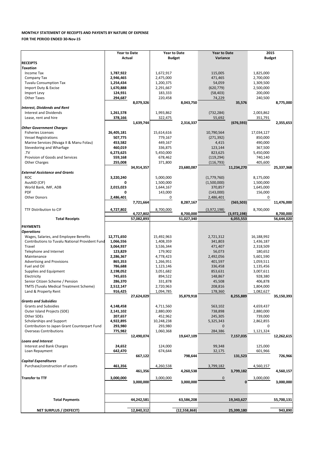| Purchase/construction of assets | 461,356                | 4,260,538              | 3,799,182  | 4,560,157              |
|---------------------------------|------------------------|------------------------|------------|------------------------|
|                                 | 461,356                | 4,260,538              | 3,799,182  | 4,560,157              |
| <b>Transfer to TTF</b>          | 3,000,000<br>3,000,000 | 3,000,000<br>3,000,000 | $\Omega$   | 3,000,000<br>3,000,000 |
| <b>Total Payments</b>           | 44,242,581             | 63,586,208             | 19,343,627 | 55,700,131             |
| <b>NET SURPLUS / (DEFECIT)</b>  | 12,840,312             | (12, 558, 868)         | 25,399,180 | 943,890                |

|                                                                                 | <b>Year to Date</b>  |            | <b>Year to Date</b>   |            | <b>Year to Date</b> |             | 2015           |            |
|---------------------------------------------------------------------------------|----------------------|------------|-----------------------|------------|---------------------|-------------|----------------|------------|
|                                                                                 | Actual               |            | <b>Budget</b>         |            | Variance            |             | <b>Budget</b>  |            |
| <b>RECEIPTS</b>                                                                 |                      |            |                       |            |                     |             |                |            |
| <b>Taxation</b>                                                                 |                      |            |                       |            |                     |             |                |            |
| Income Tax                                                                      | 1,787,922            |            | 1,672,917             |            | 115,005             |             | 1,825,000      |            |
| Company Tax                                                                     | 2,946,465            |            | 2,475,000             |            | 471,465             |             | 2,700,000      |            |
| <b>Tuvalu Consumption Tax</b>                                                   | 1,254,434            |            | 1,200,375             |            | 54,059              |             | 1,309,500      |            |
| Import Duty & Excise                                                            | 1,670,888            |            | 2,291,667             |            | (620, 779)          |             | 2,500,000      |            |
| Import Levy                                                                     | 124,931              |            | 183,333               |            | (58, 403)           |             | 200,000        |            |
| <b>Other Taxes</b>                                                              | 294,687              |            | 220,458               |            | 74,229              |             | 240,500        |            |
|                                                                                 |                      | 8,079,326  |                       | 8,043,750  |                     | 35,576      |                | 8,775,000  |
| <b>Interest, Dividends and Rent</b>                                             |                      |            |                       |            |                     |             |                |            |
| <b>Interest and Dividends</b>                                                   | 1,261,578            |            | 1,993,862             |            | (732, 284)          |             | 2,003,862      |            |
| Lease, rent and hire                                                            | 378,166              |            | 322,475               |            | 55,692              |             | 351,791        |            |
|                                                                                 |                      | 1,639,744  |                       | 2,316,337  |                     | (676, 593)  |                | 2,355,653  |
| <b>Other Government Charges</b>                                                 |                      |            |                       |            |                     |             |                |            |
| <b>Fisheries Licenses</b>                                                       | 26,405,181           |            | 15,614,616            |            | 10,790,564          |             | 17,034,127     |            |
| <b>Vessel Registrations</b>                                                     | 507,775              |            | 779,167               |            | (271, 392)          |             | 850,000        |            |
| Marine Services (Nivaga II & Manu Folau)                                        | 453,582              |            | 449,167               |            | 4,415               |             | 490,000        |            |
| Stevedoring and Wharfage                                                        | 460,019              |            | 336,875               |            | 123,144             |             | 367,500        |            |
| .TV                                                                             | 6,273,625            |            | 5,450,000             |            | 823,625             |             | 5,450,000      |            |
| Provision of Goods and Services                                                 | 559,168              |            | 678,462               |            | (119, 294)          |             | 740,140        |            |
| <b>Other Charges</b>                                                            | 255,008              |            | 371,800               |            | (116, 793)          |             | 405,600        |            |
|                                                                                 |                      | 34,914,357 |                       | 23,680,087 |                     | 11,234,270  |                | 25,337,368 |
| <b>External Assistance and Grants</b>                                           |                      |            |                       |            |                     |             |                |            |
| <b>ROC</b>                                                                      | 3,220,240            |            | 5,000,000             |            | (1,779,760)         |             | 8,175,000      |            |
| AusAID (CIF)                                                                    | 0                    |            | 1,500,000             |            | (1,500,000)         |             | 1,500,000      |            |
| World Bank, IMF, ADB                                                            | 2,015,023            |            | 1,644,167             |            | 370,857             |             | 1,645,000      |            |
| <b>PDF</b>                                                                      | 0                    |            | 143,000               |            | (143,000)           |             | 156,000        |            |
| <b>Other Donors</b>                                                             | 2,486,401            |            | 0                     |            | 2,486,401           |             | 0              |            |
|                                                                                 |                      | 7,721,664  |                       | 8,287,167  |                     | (565, 503)  |                | 11,476,000 |
|                                                                                 |                      |            |                       |            |                     |             |                |            |
|                                                                                 |                      |            |                       |            |                     |             |                |            |
| <b>TTF Distribution to CIF</b>                                                  | 4,727,802            |            | 8,700,000             |            | (3,972,198)         |             | 8,700,000      |            |
|                                                                                 |                      | 4,727,802  |                       | 8,700,000  |                     | (3,972,198) |                | 8,700,000  |
| <b>Total Receipts</b>                                                           |                      | 57,082,893 |                       | 51,027,340 |                     | 6,055,553   |                | 56,644,020 |
| <b>PAYMENTS</b>                                                                 |                      |            |                       |            |                     |             |                |            |
| <b>Operations</b>                                                               |                      |            |                       |            |                     |             |                |            |
| Wages, Salaries, and Employee Benefits                                          | 12,771,650           |            | 15,492,963            |            | 2,721,312           |             | 16,188,992     |            |
| <b>Contributions to Tuvalu National Provident Fund</b>                          | 1,066,556            |            | 1,408,359             |            | 341,803             |             | 1,436,187      |            |
| Travel                                                                          | 3,064,937            |            | 3,536,344             |            | 471,407             |             | 2,318,509      |            |
| Telephone and Internet                                                          | 123,829              |            | 179,902               |            | 56,073              |             | 180,652        |            |
| Maintenance                                                                     | 2,286,367            |            | 4,778,423             |            | 2,492,056           |             | 5,601,590      |            |
| <b>Advertising and Provisions</b>                                               | 865,353              |            | 1,266,951             |            | 401,597             |             | 1,059,511      |            |
| Fuel and Oil                                                                    | 786,688              |            | 1,123,146             |            | 336,458             |             | 1,135,456      |            |
| Supplies and Equipment                                                          | 2,198,052            |            | 3,051,682             |            | 853,631             |             | 3,007,611      |            |
| Electricity                                                                     | 745,655              |            | 894,522               |            | 148,867             |             | 928,380        |            |
| Senior Citizen Scheme / Pension                                                 | 286,370              |            | 331,878               |            | 45,508              |             | 406,878        |            |
| <b>TMTS (Tuvalu Medical Treatment Scheme)</b>                                   | 2,512,147            |            | 2,720,963             |            | 208,816             |             | 1,804,000      |            |
| Land & Property Rent                                                            | 916,425              |            | 1,094,785             |            | 178,360             |             |                |            |
|                                                                                 |                      | 27,624,029 |                       | 35,879,918 |                     | 8,255,889   | 1,082,627      | 35,150,393 |
| <b>Grants and Subsidies</b>                                                     |                      |            |                       |            |                     |             |                |            |
| <b>Grants and Subsidies</b>                                                     | 4,148,458            |            | 4,711,560             |            | 563,102             |             | 4,659,437      |            |
| Outer Island Projects (SDE)                                                     | 2,141,102            |            | 2,880,000             |            | 738,898             |             | 2,880,000      |            |
| Other SDEs                                                                      | 207,657              |            | 452,962               |            | 245,305             |             | 739,000        |            |
|                                                                                 |                      |            |                       |            |                     |             |                |            |
| <b>Scholarships and Support</b><br>Contribution to Japan Grant Counterpart Fund | 4,922,895<br>293,980 |            | 10,248,238<br>293,980 |            | 5,325,343<br>0      |             | 2,862,855<br>0 |            |
| <b>Overseas Contributions</b>                                                   |                      |            |                       |            |                     |             |                |            |
|                                                                                 | 775,982              |            | 1,060,368             |            | 284,386             |             | 1,121,324      |            |
|                                                                                 |                      | 12,490,074 |                       | 19,647,109 |                     | 7,157,035   |                | 12,262,615 |
| <b>Loans and Interest</b>                                                       |                      |            |                       |            |                     |             |                |            |
| Interest and Bank Charges                                                       | 24,652               |            | 124,000<br>674,644    |            | 99,348              |             | 125,000        |            |
| Loan Repayment                                                                  | 642,470              | 667,122    |                       | 798,644    | 32,175              | 131,523     | 601,966        | 726,966    |

## **MONTHLY STATEMENT OF RECEIPTS AND PAYENTS BY NATURE OF EXPENSE FOR THE PERIOD ENDED 30-Nov-15**